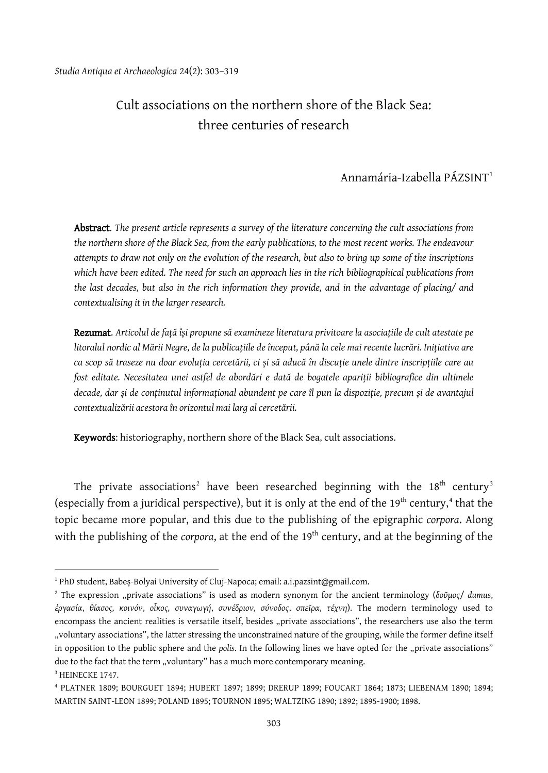# Cult associations on the northern shore of the Black Sea: three centuries of research

## Annamária-Izabella PÁZSINT[1](#page-0-0)

Abstract. *The present article represents a survey of the literature concerning the cult associations from the northern shore of the Black Sea, from the early publications, to the most recent works. The endeavour attempts to draw not only on the evolution of the research, but also to bring up some of the inscriptions which have been edited. The need for such an approach lies in the rich bibliographical publications from the last decades, but also in the rich information they provide, and in the advantage of placing/ and contextualising it in the larger research.*

Rezumat. *Articolul de față își propune să examineze literatura privitoare la asociațiile de cult atestate pe litoralul nordic al Mării Negre, de la publicațiile de început, până la cele mai recente lucrări. Inițiativa are ca scop să traseze nu doar evoluția cercetării, ci și să aducă în discuție unele dintre inscripțiile care au fost editate. Necesitatea unei astfel de abordări e dată de bogatele apariții bibliografice din ultimele decade, dar și de conținutul informațional abundent pe care îl pun la dispoziție, precum și de avantajul contextualizării acestora în orizontul mai larg al cercetării.*

Keywords: historiography, northern shore of the Black Sea, cult associations.

The private associations<sup>[2](#page-0-1)</sup> have been researched beginning with the  $18<sup>th</sup>$  century<sup>[3](#page-0-2)</sup> (especially from a juridical perspective), but it is only at the end of the  $19<sup>th</sup>$  century,<sup>[4](#page-0-3)</sup> that the topic became more popular, and this due to the publishing of the epigraphic *corpora*. Along with the publishing of the *corpora*, at the end of the 19<sup>th</sup> century, and at the beginning of the

<span id="page-0-0"></span><sup>&</sup>lt;sup>1</sup> PhD student, Babeș-Bolyai University of Cluj-Napoca; email: a.i.pazsint@gmail.com.

<span id="page-0-1"></span><sup>2</sup> The expression "private associations" is used as modern synonym for the ancient terminology (*δοῦμος*/ *dumus*, *ἐργασία*, *θίασος, κοινόν*, *οἶκος, συναγωγή*, *συνέδριον, σύνοδος*, *σπεῖρα*, *τέχνη*). The modern terminology used to encompass the ancient realities is versatile itself, besides "private associations", the researchers use also the term "voluntary associations", the latter stressing the unconstrained nature of the grouping, while the former define itself in opposition to the public sphere and the *polis*. In the following lines we have opted for the "private associations" due to the fact that the term "voluntary" has a much more contemporary meaning. <sup>3</sup> HEINECKE 1747.

<span id="page-0-3"></span><span id="page-0-2"></span><sup>4</sup> PLATNER 1809; BOURGUET 1894; HUBERT 1897; 1899; DRERUP 1899; FOUCART 1864; 1873; LIEBENAM 1890; 1894; MARTIN SAINT-LEON 1899; POLAND 1895; TOURNON 1895; WALTZING 1890; 1892; 1895-1900; 1898.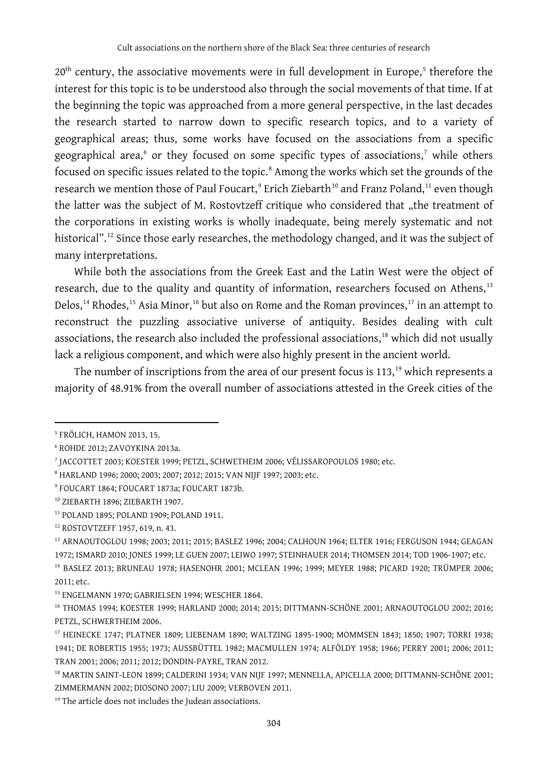$20<sup>th</sup>$  century, the associative movements were in full development in Europe,<sup>[5](#page-1-0)</sup> therefore the interest for this topic is to be understood also through the social movements of that time. If at the beginning the topic was approached from a more general perspective, in the last decades the research started to narrow down to specific research topics, and to a variety of geographical areas; thus, some works have focused on the associations from a specific geographical area,<sup>[6](#page-1-1)</sup> or they focused on some specific types of associations,<sup>[7](#page-1-2)</sup> while others focused on specific issues related to the topic.<sup>[8](#page-1-3)</sup> Among the works which set the grounds of the research we mention those of Paul Foucart,<sup>[9](#page-1-4)</sup> Erich Ziebarth<sup>[10](#page-1-5)</sup> and Franz Poland,<sup>[11](#page-1-6)</sup> even though the latter was the subject of M. Rostovtzeff critique who considered that "the treatment of the corporations in existing works is wholly inadequate, being merely systematic and not historical".<sup>[12](#page-1-7)</sup> Since those early researches, the methodology changed, and it was the subject of many interpretations.

While both the associations from the Greek East and the Latin West were the object of research, due to the quality and quantity of information, researchers focused on Athens,<sup>[13](#page-1-8)</sup> Delos,<sup>[14](#page-1-9)</sup> Rhodes,<sup>[15](#page-1-10)</sup> Asia Minor,<sup>[16](#page-1-11)</sup> but also on Rome and the Roman provinces,<sup>[17](#page-1-12)</sup> in an attempt to reconstruct the puzzling associative universe of antiquity. Besides dealing with cult associations, the research also included the professional associations, [18](#page-1-13) which did not usually lack a religious component, and which were also highly present in the ancient world.

The number of inscriptions from the area of our present focus is 113,<sup>[19](#page-1-14)</sup> which represents a majority of 48.91% from the overall number of associations attested in the Greek cities of the

 $\overline{a}$ 

<span id="page-1-8"></span><sup>13</sup> ARNAOUTOGLOU 1998; 2003; 2011; 2015; BASLEZ 1996; 2004; CALHOUN 1964; ELTER 1916; FERGUSON 1944; GEAGAN 1972; ISMARD 2010; JONES 1999; LE GUEN 2007; LEIWO 1997; STEINHAUER 2014; THOMSEN 2014; TOD 1906-1907; etc.

<span id="page-1-0"></span><sup>5</sup> FRÖLICH, HAMON 2013, 15.

<span id="page-1-1"></span><sup>6</sup> ROHDE 2012; ZAVOYKINA 2013a.

<span id="page-1-2"></span><sup>7</sup> JACCOTTET 2003; KOESTER 1999; PETZL, SCHWETHEIM 2006; VÉLISSAROPOULOS 1980; etc.

<span id="page-1-3"></span><sup>8</sup> HARLAND 1996; 2000; 2003; 2007; 2012; 2015; VAN NIJF 1997; 2003; etc.

<span id="page-1-4"></span><sup>9</sup> FOUCART 1864; FOUCART 1873a; FOUCART 1873b.

<span id="page-1-5"></span><sup>10</sup> ZIEBARTH 1896; ZIEBARTH 1907.

<span id="page-1-6"></span><sup>11</sup> POLAND 1895; POLAND 1909; POLAND 1911.

<span id="page-1-7"></span><sup>12</sup> ROSTOVTZEFF 1957, 619, n. 43.

<span id="page-1-9"></span><sup>14</sup> BASLEZ 2013; BRUNEAU 1978; HASENOHR 2001; MCLEAN 1996; 1999; MEYER 1988; PICARD 1920; TRÜMPER 2006; 2011; etc.

<span id="page-1-10"></span><sup>&</sup>lt;sup>15</sup> ENGELMANN 1970; GABRIELSEN 1994; WESCHER 1864.

<span id="page-1-11"></span><sup>16</sup> THOMAS 1994; KOESTER 1999; HARLAND 2000; 2014; 2015; DITTMANN-SCHÖNE 2001; ARNAOUTOGLOU 2002; 2016; PETZL, SCHWERTHEIM 2006.

<span id="page-1-12"></span><sup>17</sup> HEINECKE 1747; PLATNER 1809; LIEBENAM 1890; WALTZING 1895-1900; MOMMSEN 1843; 1850; 1907; TORRI 1938; 1941; DE ROBERTIS 1955; 1973; AUSSBÜTTEL 1982; MACMULLEN 1974; ALFÖLDY 1958; 1966; PERRY 2001; 2006; 2011; TRAN 2001; 2006; 2011; 2012; DONDIN-PAYRE, TRAN 2012.

<span id="page-1-13"></span><sup>&</sup>lt;sup>18</sup> MARTIN SAINT-LEON 1899; CALDERINI 1934; VAN NIJF 1997; MENNELLA, APICELLA 2000; DITTMANN-SCHÖNE 2001; ZIMMERMANN 2002; DIOSONO 2007; LIU 2009; VERBOVEN 2011.

<span id="page-1-14"></span><sup>19</sup> The article does not includes the Judean associations.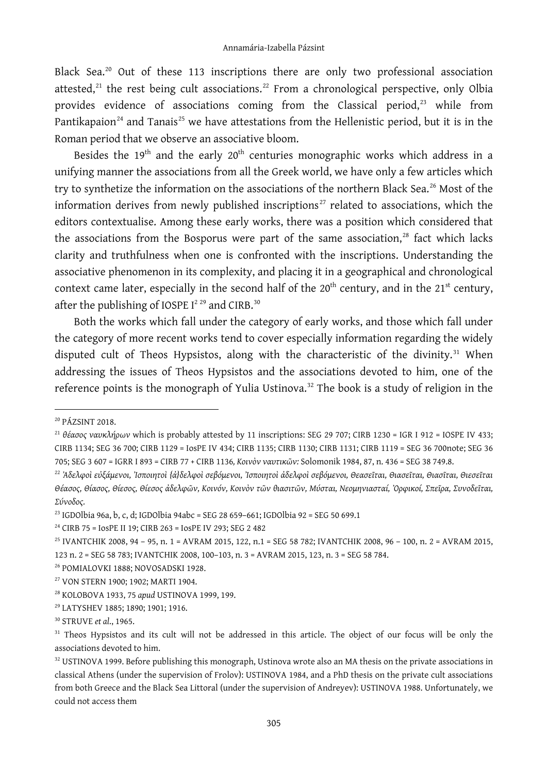Black Sea.<sup>[20](#page-2-0)</sup> Out of these 113 inscriptions there are only two professional association attested, $^{21}$  $^{21}$  $^{21}$  the rest being cult associations. $^{22}$  $^{22}$  $^{22}$  From a chronological perspective, only Olbia provides evidence of associations coming from the Classical period, $^{23}$  $^{23}$  $^{23}$  while from Pantikapaion<sup>[24](#page-2-4)</sup> and Tanais<sup>[25](#page-2-5)</sup> we have attestations from the Hellenistic period, but it is in the Roman period that we observe an associative bloom.

Besides the  $19<sup>th</sup>$  and the early  $20<sup>th</sup>$  centuries monographic works which address in a unifying manner the associations from all the Greek world, we have only a few articles which try to synthetize the information on the associations of the northern Black Sea.<sup>[26](#page-2-6)</sup> Most of the information derives from newly published inscriptions<sup>[27](#page-2-7)</sup> related to associations, which the editors contextualise. Among these early works, there was a position which considered that the associations from the Bosporus were part of the same association, [28](#page-2-8) fact which lacks clarity and truthfulness when one is confronted with the inscriptions. Understanding the associative phenomenon in its complexity, and placing it in a geographical and chronological context came later, especially in the second half of the  $20<sup>th</sup>$  century, and in the  $21<sup>st</sup>$  century, after the publishing of IOSPE  $I^{229}$  $I^{229}$  $I^{229}$  and CIRB.<sup>[30](#page-2-10)</sup>

Both the works which fall under the category of early works, and those which fall under the category of more recent works tend to cover especially information regarding the widely disputed cult of Theos Hypsistos, along with the characteristic of the divinity. $31$  When addressing the issues of Theos Hypsistos and the associations devoted to him, one of the reference points is the monograph of Yulia Ustinova. [32](#page-2-12) The book is a study of religion in the

<span id="page-2-0"></span><sup>20</sup> PÁZSINT 2018.

<span id="page-2-1"></span><sup>21</sup> *θέασος ναυκλήρων* which is probably attested by 11 inscriptions: SEG 29 707; CIRB 1230 = IGR I 912 = IOSPE IV 433; CIRB 1134; SEG 36 700; CIRB 1129 = IosPE IV 434; CIRB 1135; CIRB 1130; CIRB 1131; CIRB 1119 = SEG 36 700note; SEG 36 705; SEG 3 607 = IGRR I 893 = CIRB 77 + CIRB 1136*, Κοινὸν ναυτικῶν:* Solomonik 1984, 87, n. 436 = SEG 38 749.8.

<span id="page-2-2"></span><sup>22</sup> *Ἀδελφοὶ εὐξάμενοι, Ἰσποιητοὶ {ἀ}δελφοὶ σεβόμενοι, Ἰσποιητοὶ ἀδελφοὶ σεβόμενοι, Θεασεῖται, Θιασεῖται, Θιασῖται, Θιεσεῖται Θέασος, Θίασος, Θίεσος, Θίεσος ἀδελφῶν, Κοινόν, Κοινὸν τῶν θιασιτῶν, Μύσται, Νεομηνιασταί, Ὀρφικοί, Σπεῖρα, Συνοδεῖται, Σύνοδος.*

<span id="page-2-3"></span><sup>&</sup>lt;sup>23</sup> IGDOlbia 96a, b, c, d; IGDOlbia 94abc = SEG 28 659-661; IGDOlbia 92 = SEG 50 699.1

<span id="page-2-4"></span><sup>24</sup> CIRB 75 = IosPE II 19; CIRB 263 = IosPE IV 293; SEG 2 482

<span id="page-2-5"></span><sup>25</sup> IVANTCHIK 2008, 94 – 95, n. 1 = AVRAM 2015, 122, n.1 = SEG 58 782; IVANTCHIK 2008, 96 – 100, n. 2 = AVRAM 2015, 123 n. 2 = SEG 58 783; IVANTCHIK 2008, 100–103, n. 3 = AVRAM 2015, 123, n. 3 = SEG 58 784.

<span id="page-2-6"></span><sup>26</sup> POMIALOVKI 1888; NOVOSADSKI 1928.

<span id="page-2-7"></span><sup>27</sup> VON STERN 1900; 1902; MARTI 1904.

<span id="page-2-8"></span><sup>28</sup> KOLOBOVA 1933, 75 *apud* USTINOVA 1999, 199.

<span id="page-2-9"></span><sup>29</sup> LATYSHEV 1885; 1890; 1901; 1916.

<span id="page-2-10"></span><sup>30</sup> STRUVE *et al*., 1965.

<span id="page-2-11"></span><sup>&</sup>lt;sup>31</sup> Theos Hypsistos and its cult will not be addressed in this article. The object of our focus will be only the associations devoted to him.

<span id="page-2-12"></span> $32$  USTINOVA 1999. Before publishing this monograph, Ustinova wrote also an MA thesis on the private associations in classical Athens (under the supervision of Frolov): USTINOVA 1984, and a PhD thesis on the private cult associations from both Greece and the Black Sea Littoral (under the supervision of Andreyev): USTINOVA 1988. Unfortunately, we could not access them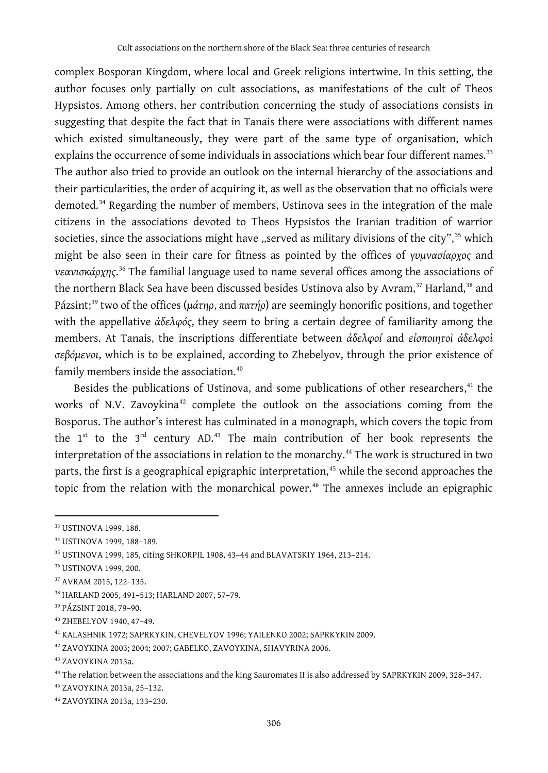complex Bosporan Kingdom, where local and Greek religions intertwine. In this setting, the author focuses only partially on cult associations, as manifestations of the cult of Theos Hypsistos. Among others, her contribution concerning the study of associations consists in suggesting that despite the fact that in Tanais there were associations with different names which existed simultaneously, they were part of the same type of organisation, which explains the occurrence of some individuals in associations which bear four different names.<sup>[33](#page-3-0)</sup> The author also tried to provide an outlook on the internal hierarchy of the associations and their particularities, the order of acquiring it, as well as the observation that no officials were demoted.[34](#page-3-1) Regarding the number of members, Ustinova sees in the integration of the male citizens in the associations devoted to Theos Hypsistos the Iranian tradition of warrior societies, since the associations might have "served as military divisions of the city",  $35$  which might be also seen in their care for fitness as pointed by the offices of *γυμνασίαρχος* and *νεανισκάρχης*. [36](#page-3-3) The familial language used to name several offices among the associations of the northern Black Sea have been discussed besides Ustinova also by Avram,<sup>[37](#page-3-4)</sup> Harland,<sup>[38](#page-3-5)</sup> and Pázsint;[39](#page-3-6) two of the offices (*μάτηρ*, and *πατήρ*) are seemingly honorific positions, and together with the appellative *ἀδελφός*, they seem to bring a certain degree of familiarity among the members. At Tanais, the inscriptions differentiate between *ἀδελφοί* and *εἰσποιητοὶ ἀδελφοὶ σεβόμενοι*, which is to be explained, according to Zhebelyov, through the prior existence of family members inside the association. [40](#page-3-7)

Besides the publications of Ustinova, and some publications of other researchers,<sup>[41](#page-3-8)</sup> the works of N.V. Zavoykina<sup>[42](#page-3-9)</sup> complete the outlook on the associations coming from the Bosporus. The author's interest has culminated in a monograph, which covers the topic from the  $1^{st}$  to the  $3^{rd}$  century AD.<sup>[43](#page-3-10)</sup> The main contribution of her book represents the interpretation of the associations in relation to the monarchy. [44](#page-3-11) The work is structured in two parts, the first is a geographical epigraphic interpretation, [45](#page-3-12) while the second approaches the topic from the relation with the monarchical power.[46](#page-3-13) The annexes include an epigraphic

<span id="page-3-0"></span><sup>33</sup> USTINOVA 1999, 188.

<span id="page-3-1"></span><sup>34</sup> USTINOVA 1999, 188–189.

<span id="page-3-2"></span><sup>35</sup> USTINOVA 1999, 185, citing SHKORPIL 1908, 43–44 and BLAVATSKIY 1964, 213–214.

<span id="page-3-3"></span><sup>36</sup> USTINOVA 1999, 200.

<span id="page-3-4"></span><sup>37</sup> AVRAM 2015, 122–135.

<span id="page-3-5"></span><sup>38</sup> HARLAND 2005, 491–513; HARLAND 2007, 57–79.

<span id="page-3-6"></span><sup>39</sup> PÁZSINT 2018, 79–90.

<span id="page-3-7"></span><sup>40</sup> ZHEBELYOV 1940, 47–49.

<span id="page-3-8"></span><sup>41</sup> KALASHNIK 1972; SAPRKYKIN, CHEVELYOV 1996; YAILENKO 2002; SAPRKYKIN 2009.

<span id="page-3-9"></span><sup>42</sup> ZAVOYKINA 2003; 2004; 2007; GABELKO, ZAVOYKINA, SHAVYRINA 2006.

<span id="page-3-10"></span><sup>43</sup> ZAVOYKINA 2013a.

<span id="page-3-11"></span><sup>44</sup> The relation between the associations and the king Sauromates II is also addressed by SAPRKYKIN 2009, 328–347.

<span id="page-3-12"></span><sup>45</sup> ZAVOYKINA 2013a, 25–132.

<span id="page-3-13"></span><sup>46</sup> ZAVOYKINA 2013a, 133–230.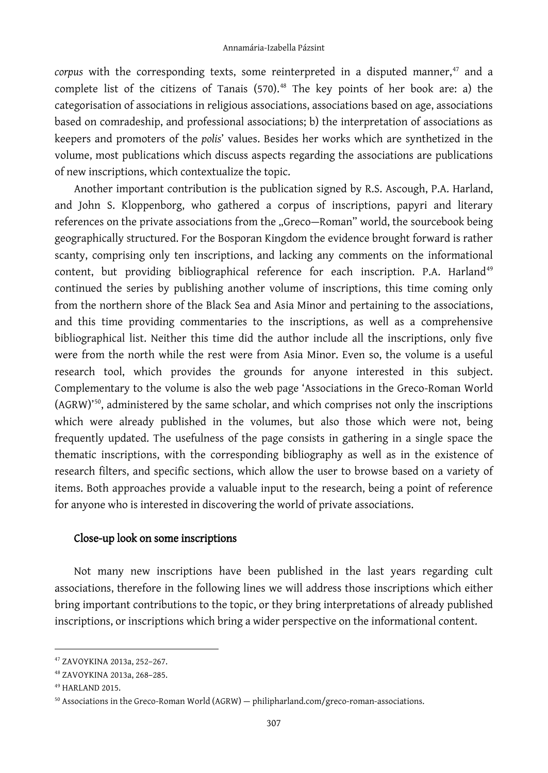*corpus* with the corresponding texts, some reinterpreted in a disputed manner, [47](#page-4-0) and a complete list of the citizens of Tanais (570). [48](#page-4-1) The key points of her book are: a) the categorisation of associations in religious associations, associations based on age, associations based on comradeship, and professional associations; b) the interpretation of associations as keepers and promoters of the *polis*' values. Besides her works which are synthetized in the volume, most publications which discuss aspects regarding the associations are publications of new inscriptions, which contextualize the topic.

Another important contribution is the publication signed by R.S. Ascough, P.A. Harland, and John S. Kloppenborg, who gathered a corpus of inscriptions, papyri and literary references on the private associations from the "Greco-Roman" world, the sourcebook being geographically structured. For the Bosporan Kingdom the evidence brought forward is rather scanty, comprising only ten inscriptions, and lacking any comments on the informational content, but providing bibliographical reference for each inscription. P.A. Harland<sup>[49](#page-4-2)</sup> continued the series by publishing another volume of inscriptions, this time coming only from the northern shore of the Black Sea and Asia Minor and pertaining to the associations, and this time providing commentaries to the inscriptions, as well as a comprehensive bibliographical list. Neither this time did the author include all the inscriptions, only five were from the north while the rest were from Asia Minor. Even so, the volume is a useful research tool, which provides the grounds for anyone interested in this subject. Complementary to the volume is also the web page 'Associations in the Greco-Roman World (AGRW)' [50,](#page-4-3) administered by the same scholar, and which comprises not only the inscriptions which were already published in the volumes, but also those which were not, being frequently updated. The usefulness of the page consists in gathering in a single space the thematic inscriptions, with the corresponding bibliography as well as in the existence of research filters, and specific sections, which allow the user to browse based on a variety of items. Both approaches provide a valuable input to the research, being a point of reference for anyone who is interested in discovering the world of private associations.

#### Close-up look on some inscriptions

Not many new inscriptions have been published in the last years regarding cult associations, therefore in the following lines we will address those inscriptions which either bring important contributions to the topic, or they bring interpretations of already published inscriptions, or inscriptions which bring a wider perspective on the informational content.

<span id="page-4-0"></span><sup>47</sup> ZAVOYKINA 2013a, 252–267.

<span id="page-4-1"></span><sup>48</sup> ZAVOYKINA 2013a, 268–285.

<span id="page-4-2"></span><sup>49</sup> HARLAND 2015.

<span id="page-4-3"></span><sup>&</sup>lt;sup>50</sup> Associations in the Greco-Roman World (AGRW) — [philipharland.com/greco-roman-associations.](http://philipharland.com/greco-roman-associations/)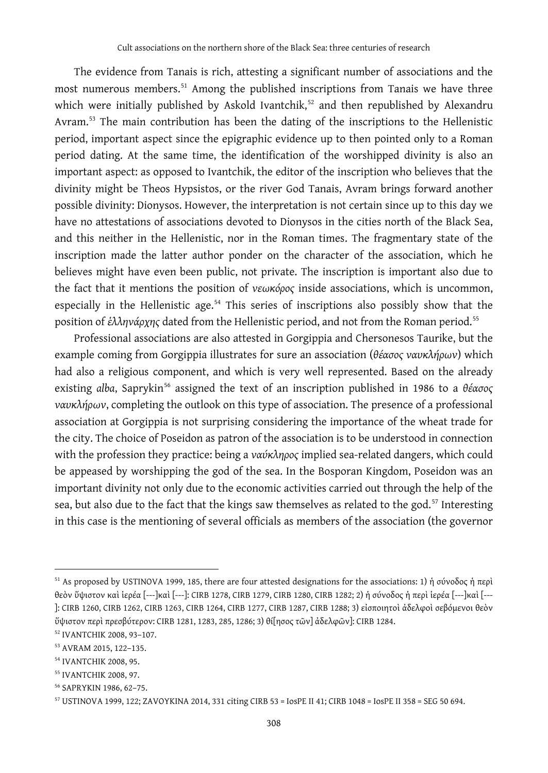The evidence from Tanais is rich, attesting a significant number of associations and the most numerous members. [51](#page-5-0) Among the published inscriptions from Tanais we have three which were initially published by Askold Ivantchik,<sup>[52](#page-5-1)</sup> and then republished by Alexandru Avram.<sup>[53](#page-5-2)</sup> The main contribution has been the dating of the inscriptions to the Hellenistic period, important aspect since the epigraphic evidence up to then pointed only to a Roman period dating. At the same time, the identification of the worshipped divinity is also an important aspect: as opposed to Ivantchik, the editor of the inscription who believes that the divinity might be Theos Hypsistos, or the river God Tanais, Avram brings forward another possible divinity: Dionysos. However, the interpretation is not certain since up to this day we have no attestations of associations devoted to Dionysos in the cities north of the Black Sea, and this neither in the Hellenistic, nor in the Roman times. The fragmentary state of the inscription made the latter author ponder on the character of the association, which he believes might have even been public, not private. The inscription is important also due to the fact that it mentions the position of *νεωκόρος* inside associations, which is uncommon, especially in the Hellenistic age.<sup>[54](#page-5-3)</sup> This series of inscriptions also possibly show that the position of *έλληνάρχης* dated from the Hellenistic period, and not from the Roman period.<sup>[55](#page-5-4)</sup>

Professional associations are also attested in Gorgippia and Chersonesos Taurike, but the example coming from Gorgippia illustrates for sure an association (*θέασος ναυκλήρων*) which had also a religious component, and which is very well represented. Based on the already existing *alba*, Saprykin[56](#page-5-5) assigned the text of an inscription published in 1986 to a *θέασος ναυκλήρων*, completing the outlook on this type of association. The presence of a professional association at Gorgippia is not surprising considering the importance of the wheat trade for the city. The choice of Poseidon as patron of the association is to be understood in connection with the profession they practice: being a *ναύκληρος* implied sea-related dangers, which could be appeased by worshipping the god of the sea. In the Bosporan Kingdom, Poseidon was an important divinity not only due to the economic activities carried out through the help of the sea, but also due to the fact that the kings saw themselves as related to the god. $57$  Interesting in this case is the mentioning of several officials as members of the association (the governor

<span id="page-5-0"></span><sup>&</sup>lt;sup>51</sup> As proposed by USTINOVA 1999, 185, there are four attested designations for the associations: 1) ή σύνοδος ή περὶ θεὸν ὕψιστον καὶ ἱερέα [---]καὶ [---]: CIRB 1278, CIRB 1279, CIRB 1280, CIRB 1282; 2) ἡ σύνοδος ἡ περὶ ἱερέα [---]καὶ [--- ]: CIRB 1260, CIRB 1262, CIRB 1263, CIRB 1264, CIRB 1277, CIRB 1287, CIRB 1288; 3) εἰσποιητοὶ ἀδελφοὶ σεβόμενοι θεὸν ὕψιστον περὶ πρεσβύτερον: CIRB 1281, 1283, 285, 1286; 3) θί[ησος τῶν] ἀδελφῶν]: CIRB 1284.

<span id="page-5-1"></span><sup>52</sup> IVANTCHIK 2008, 93–107.

<span id="page-5-2"></span><sup>53</sup> AVRAM 2015, 122–135.

<span id="page-5-3"></span><sup>54</sup> IVANTCHIK 2008, 95.

<span id="page-5-4"></span><sup>55</sup> IVANTCHIK 2008, 97.

<span id="page-5-5"></span><sup>56</sup> SAPRYKIN 1986, 62–75.

<span id="page-5-6"></span><sup>57</sup> USTINOVA 1999, 122; ZAVOYKINA 2014, 331 citing CIRB 53 = IosPE II 41; CIRB 1048 = IosPE II 358 = SEG 50 694.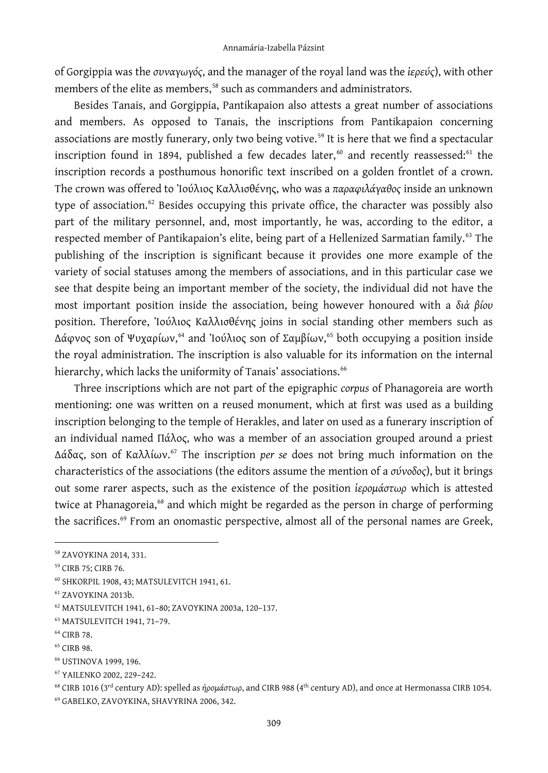of Gorgippia was the *συναγωγός*, and the manager of the royal land was the *ἱερεύς*), with other members of the elite as members,<sup>[58](#page-6-0)</sup> such as commanders and administrators.

Besides Tanais, and Gorgippia, Pantikapaion also attests a great number of associations and members. As opposed to Tanais, the inscriptions from Pantikapaion concerning associations are mostly funerary, only two being votive.<sup>[59](#page-6-1)</sup> It is here that we find a spectacular inscription found in 1894, published a few decades later, $^\mathrm{60}$  $^\mathrm{60}$  $^\mathrm{60}$  and recently reassessed: $^\mathrm{61}$  $^\mathrm{61}$  $^\mathrm{61}$  the inscription records a posthumous honorific text inscribed on a golden frontlet of a crown. The crown was offered to Ἰούλιος Καλλισθένης, who was a *παραφιλάγαθος* inside an unknown type of association.<sup>[62](#page-6-4)</sup> Besides occupying this private office, the character was possibly also part of the military personnel, and, most importantly, he was, according to the editor, a respected member of Pantikapaion's elite, being part of a Hellenized Sarmatian family.<sup>[63](#page-6-5)</sup> The publishing of the inscription is significant because it provides one more example of the variety of social statuses among the members of associations, and in this particular case we see that despite being an important member of the society, the individual did not have the most important position inside the association, being however honoured with a *διὰ βίου* position. Therefore, Ἰούλιος Καλλισθένης joins in social standing other members such as Δάφνος son of Ψυχαρίων, [64](#page-6-6) and Ἰούλιος son of Σαμβίων, [65](#page-6-7) both occupying a position inside the royal administration. The inscription is also valuable for its information on the internal hierarchy, which lacks the uniformity of Tanais' associations.<sup>[66](#page-6-8)</sup>

Three inscriptions which are not part of the epigraphic *corpus* of Phanagoreia are worth mentioning: one was written on a reused monument, which at first was used as a building inscription belonging to the temple of Herakles, and later on used as a funerary inscription of an individual named Πάλος, who was a member of an association grouped around a priest Δάδας, son of Καλλίων. [67](#page-6-9) The inscription *per se* does not bring much information on the characteristics of the associations (the editors assume the mention of a *σύνοδος*), but it brings out some rarer aspects, such as the existence of the position *ἱερομάστωρ* which is attested twice at Phanagoreia,<sup>[68](#page-6-10)</sup> and which might be regarded as the person in charge of performing the sacrifices. [69](#page-6-11) From an onomastic perspective, almost all of the personal names are Greek,

<span id="page-6-0"></span><sup>58</sup> ZAVOYKINA 2014, 331.

<span id="page-6-1"></span><sup>59</sup> CIRB 75; CIRB 76.

<span id="page-6-2"></span><sup>60</sup> SHKORPIL 1908, 43; MATSULEVITCH 1941, 61.

<span id="page-6-3"></span><sup>61</sup> ZAVOYKINA 2013b.

<span id="page-6-4"></span><sup>62</sup> MATSULEVITCH 1941, 61–80; ZAVOYKINA 2003a, 120–137.

<span id="page-6-5"></span><sup>63</sup> MATSULEVITCH 1941, 71–79.

<span id="page-6-6"></span><sup>64</sup> CIRB 78.

<span id="page-6-7"></span><sup>&</sup>lt;sup>65</sup> CIRB 98.

<span id="page-6-8"></span><sup>66</sup> USTINOVA 1999, 196.

<span id="page-6-9"></span><sup>67</sup> YAILENKO 2002, 229–242.

<span id="page-6-11"></span><span id="page-6-10"></span><sup>&</sup>lt;sup>68</sup> CIRB 1016 (3<sup>rd</sup> century AD): spelled as *ἡρομάστωρ*, and CIRB 988 (4<sup>th</sup> century AD), and once at Hermonassa CIRB 1054. <sup>69</sup> GABELKO, ZAVOYKINA, SHAVYRINA 2006, 342.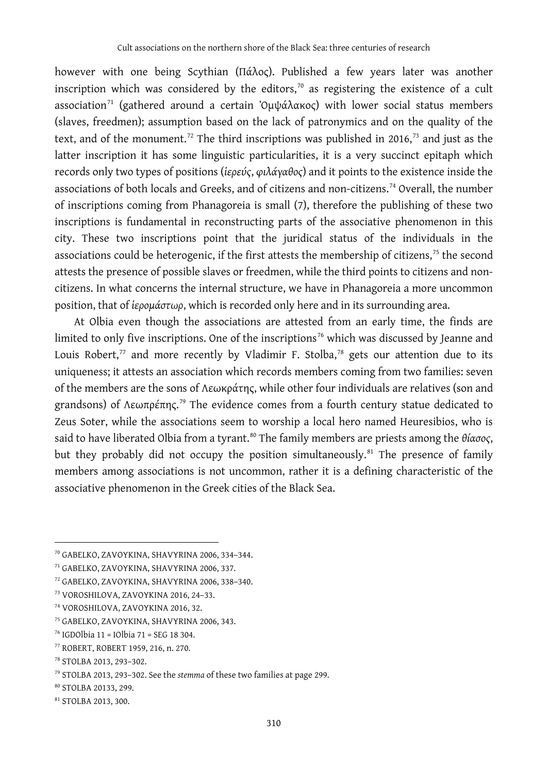however with one being Scythian (Πάλος). Published a few years later was another inscription which was considered by the editors, $\alpha$  as registering the existence of a cult association<sup>[71](#page-7-1)</sup> (gathered around a certain 'Ομψάλακος) with lower social status members (slaves, freedmen); assumption based on the lack of patronymics and on the quality of the text, and of the monument. $^{72}$  $^{72}$  $^{72}$  The third inscriptions was published in 2016, $^{73}$  $^{73}$  $^{73}$  and just as the latter inscription it has some linguistic particularities, it is a very succinct epitaph which records only two types of positions (*ἱερεύς*, *φιλάγαθος*) and it points to the existence inside the associations of both locals and Greeks, and of citizens and non-citizens.<sup>[74](#page-7-4)</sup> Overall, the number of inscriptions coming from Phanagoreia is small (7), therefore the publishing of these two inscriptions is fundamental in reconstructing parts of the associative phenomenon in this city. These two inscriptions point that the juridical status of the individuals in the associations could be heterogenic, if the first attests the membership of citizens, $75$  the second attests the presence of possible slaves or freedmen, while the third points to citizens and noncitizens. In what concerns the internal structure, we have in Phanagoreia a more uncommon position, that of *ἱερομάστωρ*, which is recorded only here and in its surrounding area.

At Olbia even though the associations are attested from an early time, the finds are limited to only five inscriptions. One of the inscriptions<sup>[76](#page-7-6)</sup> which was discussed by Jeanne and Louis Robert, $^{\prime\prime}$  and more recently by Vladimir F. Stolba, $^{\prime\text{s}}$  gets our attention due to its uniqueness; it attests an association which records members coming from two families: seven of the members are the sons of Λεωκράτης, while other four individuals are relatives (son and grandsons) of Λεωπρέπης. [79](#page-7-9) The evidence comes from a fourth century statue dedicated to Zeus Soter, while the associations seem to worship a local hero named Heuresibios, who is said to have liberated Olbia from a tyrant.<sup>[80](#page-7-10)</sup> The family members are priests among the θίασος, but they probably did not occupy the position simultaneously.<sup>[81](#page-7-11)</sup> The presence of family members among associations is not uncommon, rather it is a defining characteristic of the associative phenomenon in the Greek cities of the Black Sea.

<span id="page-7-0"></span><sup>70</sup> GABELKO, ZAVOYKINA, SHAVYRINA 2006, 334–344.

<span id="page-7-1"></span><sup>71</sup> GABELKO, ZAVOYKINA, SHAVYRINA 2006, 337.

<span id="page-7-2"></span><sup>72</sup> GABELKO, ZAVOYKINA, SHAVYRINA 2006, 338–340.

<span id="page-7-3"></span><sup>73</sup> VOROSHILOVA, ZAVOYKINA 2016, 24–33.

<span id="page-7-4"></span><sup>74</sup> VOROSHILOVA, ZAVOYKINA 2016, 32.

<span id="page-7-5"></span><sup>75</sup> GABELKO, ZAVOYKINA, SHAVYRINA 2006, 343.

<span id="page-7-6"></span><sup>76</sup> IGDOlbia 11 = IOlbia 71 = SEG 18 304.

<span id="page-7-7"></span><sup>77</sup> ROBERT, ROBERT 1959, 216, n. 270.

<span id="page-7-8"></span><sup>78</sup> STOLBA 2013, 293–302.

<span id="page-7-9"></span><sup>79</sup> STOLBA 2013, 293–302. See the *stemma* of these two families at page 299.

<span id="page-7-10"></span><sup>80</sup> STOLBA 20133, 299.

<span id="page-7-11"></span><sup>81</sup> STOLBA 2013, 300.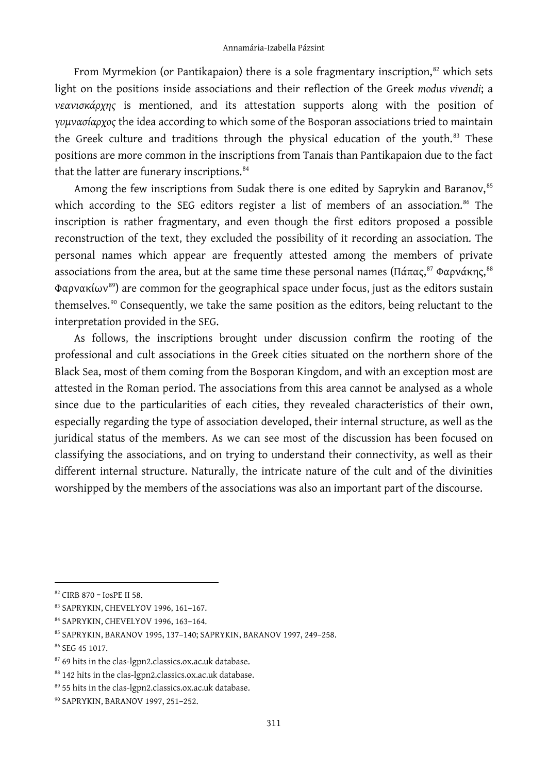From Myrmekion (or Pantikapaion) there is a sole fragmentary inscription, [82](#page-8-0) which sets light on the positions inside associations and their reflection of the Greek *modus vivendi*; a *νεανισκάρχης* is mentioned, and its attestation supports along with the position of *γυμνασίαρχος* the idea according to which some of the Bosporan associations tried to maintain the Greek culture and traditions through the physical education of the youth. $83$  These positions are more common in the inscriptions from Tanais than Pantikapaion due to the fact that the latter are funerary inscriptions.<sup>[84](#page-8-2)</sup>

Among the few inscriptions from Sudak there is one edited by Saprykin and Baranov, [85](#page-8-3) which according to the SEG editors register a list of members of an association. $86$  The inscription is rather fragmentary, and even though the first editors proposed a possible reconstruction of the text, they excluded the possibility of it recording an association. The personal names which appear are frequently attested among the members of private associations from the area, but at the same time these personal names (Πάπας,<sup>[87](#page-8-5)</sup> Φαρνάκης,<sup>[88](#page-8-6)</sup> Φαρνακίων<sup>[89](#page-8-7)</sup>) are common for the geographical space under focus, just as the editors sustain themselves. [90](#page-8-8) Consequently, we take the same position as the editors, being reluctant to the interpretation provided in the SEG.

As follows, the inscriptions brought under discussion confirm the rooting of the professional and cult associations in the Greek cities situated on the northern shore of the Black Sea, most of them coming from the Bosporan Kingdom, and with an exception most are attested in the Roman period. The associations from this area cannot be analysed as a whole since due to the particularities of each cities, they revealed characteristics of their own, especially regarding the type of association developed, their internal structure, as well as the juridical status of the members. As we can see most of the discussion has been focused on classifying the associations, and on trying to understand their connectivity, as well as their different internal structure. Naturally, the intricate nature of the cult and of the divinities worshipped by the members of the associations was also an important part of the discourse.

<span id="page-8-0"></span> $82$  CIRB 870 = IosPE II 58.

<span id="page-8-1"></span><sup>83</sup> SAPRYKIN, CHEVELYOV 1996, 161–167.

<span id="page-8-2"></span><sup>84</sup> SAPRYKIN, CHEVELYOV 1996, 163–164.

<span id="page-8-3"></span><sup>85</sup> SAPRYKIN, BARANOV 1995, 137–140; SAPRYKIN, BARANOV 1997, 249–258.

<span id="page-8-4"></span><sup>86</sup> SEG 45 1017.

<span id="page-8-5"></span><sup>87</sup> 69 hits in the clas-lgpn2.classics.ox.ac.uk database.

<span id="page-8-6"></span><sup>88 142</sup> hits in the clas-lgpn2.classics.ox.ac.uk database.

<span id="page-8-7"></span><sup>89 55</sup> hits in the clas-lgpn2.classics.ox.ac.uk database.

<span id="page-8-8"></span><sup>90</sup> SAPRYKIN, BARANOV 1997, 251–252.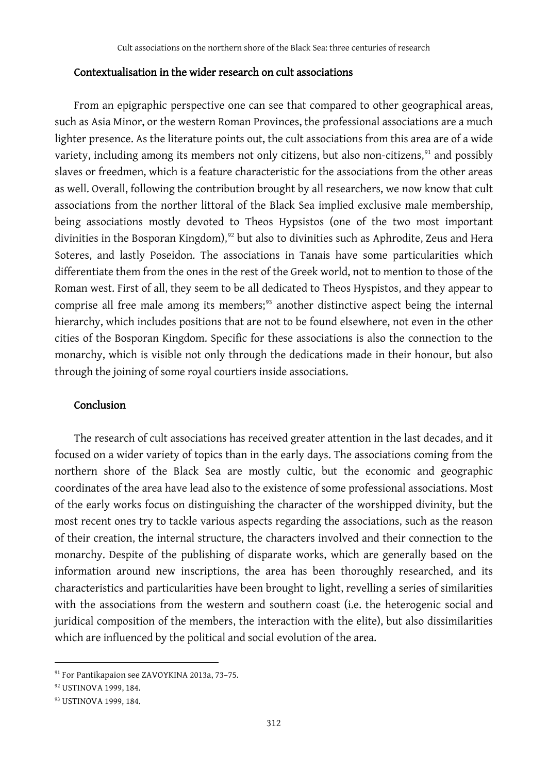### Contextualisation in the wider research on cult associations

From an epigraphic perspective one can see that compared to other geographical areas, such as Asia Minor, or the western Roman Provinces, the professional associations are a much lighter presence. As the literature points out, the cult associations from this area are of a wide variety, including among its members not only citizens, but also non-citizens,<sup>[91](#page-9-0)</sup> and possibly slaves or freedmen, which is a feature characteristic for the associations from the other areas as well. Overall, following the contribution brought by all researchers, we now know that cult associations from the norther littoral of the Black Sea implied exclusive male membership, being associations mostly devoted to Theos Hypsistos (one of the two most important divinities in the Bosporan Kingdom), [92](#page-9-1) but also to divinities such as Aphrodite, Zeus and Hera Soteres, and lastly Poseidon. The associations in Tanais have some particularities which differentiate them from the ones in the rest of the Greek world, not to mention to those of the Roman west. First of all, they seem to be all dedicated to Theos Hyspistos, and they appear to comprise all free male among its members; [93](#page-9-2) another distinctive aspect being the internal hierarchy, which includes positions that are not to be found elsewhere, not even in the other cities of the Bosporan Kingdom. Specific for these associations is also the connection to the monarchy, which is visible not only through the dedications made in their honour, but also through the joining of some royal courtiers inside associations.

#### Conclusion

The research of cult associations has received greater attention in the last decades, and it focused on a wider variety of topics than in the early days. The associations coming from the northern shore of the Black Sea are mostly cultic, but the economic and geographic coordinates of the area have lead also to the existence of some professional associations. Most of the early works focus on distinguishing the character of the worshipped divinity, but the most recent ones try to tackle various aspects regarding the associations, such as the reason of their creation, the internal structure, the characters involved and their connection to the monarchy. Despite of the publishing of disparate works, which are generally based on the information around new inscriptions, the area has been thoroughly researched, and its characteristics and particularities have been brought to light, revelling a series of similarities with the associations from the western and southern coast (i.e. the heterogenic social and juridical composition of the members, the interaction with the elite), but also dissimilarities which are influenced by the political and social evolution of the area.

<span id="page-9-0"></span><sup>91</sup> For Pantikapaion see ZAVOYKINA 2013a, 73–75.

<span id="page-9-1"></span><sup>92</sup> USTINOVA 1999, 184.

<span id="page-9-2"></span><sup>93</sup> USTINOVA 1999, 184.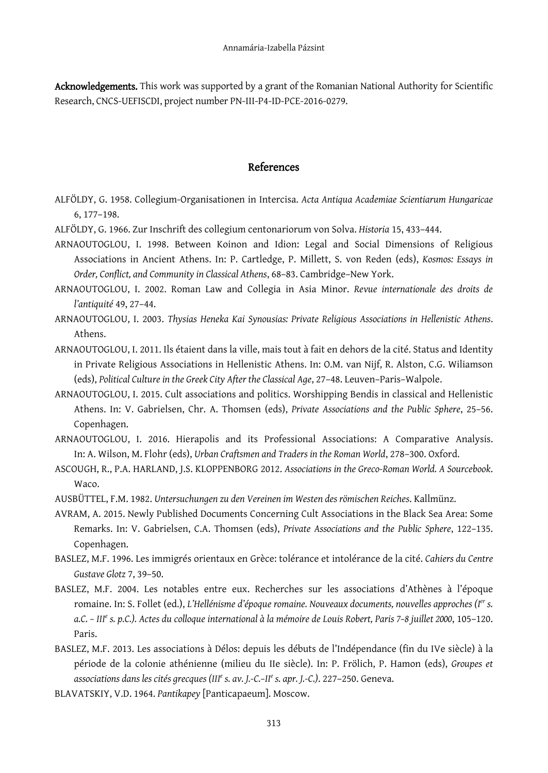Acknowledgements. This work was supported by a grant of the Romanian National Authority for Scientific Research, CNCS-UEFISCDI, project number PN-III-P4-ID-PCE-2016-0279.

## References

- ALFÖLDY, G. 1958. Collegium-Organisationen in Intercisa. *Acta Antiqua Academiae Scientiarum Hungaricae* 6, 177–198.
- ALFÖLDY, G. 1966. Zur Inschrift des collegium centonariorum von Solva. *Historia* 15, 433–444.
- ARNAOUTOGLOU, I. 1998. Between Koinon and Idion: Legal and Social Dimensions of Religious Associations in Ancient Athens. In: P. Cartledge, P. Millett, S. von Reden (eds), *Kosmos: Essays in Order, Conflict, and Community in Classical Athens*, 68–83. Cambridge–New York.
- ARNAOUTOGLOU, I. 2002. Roman Law and Collegia in Asia Minor. *Revue internationale des droits de l'antiquité* 49, 27–44.
- ARNAOUTOGLOU, I. 2003. *Thysias Heneka Kai Synousias: Private Religious Associations in Hellenistic Athens*. Athens.
- ARNAOUTOGLOU, I. 2011. Ils étaient dans la ville, mais tout à fait en dehors de la cité. Status and Identity in Private Religious Associations in Hellenistic Athens. In: O.M. van Nijf, R. Alston, C.G. Wiliamson (eds), *Political Culture in the Greek City After the Classical Age*, 27–48. Leuven–Paris–Walpole.
- ARNAOUTOGLOU, I. 2015. Cult associations and politics. Worshipping Bendis in classical and Hellenistic Athens. In: V. Gabrielsen, Chr. A. Thomsen (eds), *Private Associations and the Public Sphere*, 25–56. Copenhagen.
- ARNAOUTOGLOU, I. 2016. Hierapolis and its Professional Associations: A Comparative Analysis. In: A. Wilson, M. Flohr (eds), *Urban Craftsmen and Traders in the Roman World*, 278–300. Oxford.
- ASCOUGH, R., P.A. HARLAND, J.S. KLOPPENBORG 2012. *Associations in the Greco-Roman World. A Sourcebook*. Waco.
- AUSBÜTTEL, F.M. 1982. *Untersuchungen zu den Vereinen im Westen des römischen Reiches*. Kallmünz.
- AVRAM, A. 2015. Newly Published Documents Concerning Cult Associations in the Black Sea Area: Some Remarks. In: V. Gabrielsen, C.A. Thomsen (eds), *Private Associations and the Public Sphere*, 122–135. Copenhagen.
- BASLEZ, M.F. 1996. Les immigrés orientaux en Grèce: tolérance et intolérance de la cité. *Cahiers du Centre Gustave Glotz* 7, 39–50.
- BASLEZ, M.F. 2004. Les notables entre eux. Recherches sur les associations d'Athènes à l'époque romaine. In: S. Follet (ed.), *L'Hellénisme d'époque romaine. Nouveaux documents, nouvelles approches (Ier s. a.C. – III<sup>e</sup> s. p.C.). Actes du colloque international à la mémoire de Louis Robert, Paris 7–8 juillet 2000*, 105–120. Paris.
- BASLEZ, M.F. 2013. Les associations à Délos: depuis les débuts de l'Indépendance (fin du IVe siècle) à la période de la colonie athénienne (milieu du IIe siècle). In: P. Frölich, P. Hamon (eds), *Groupes et associations dans les cités grecques (III<sup>e</sup> s. av. J.-C.–II<sup>e</sup> s. apr. J.-C.)*. 227–250. Geneva.
- BLAVATSKIY, V.D. 1964. *Pantikapey* [Panticapaeum]. Moscow.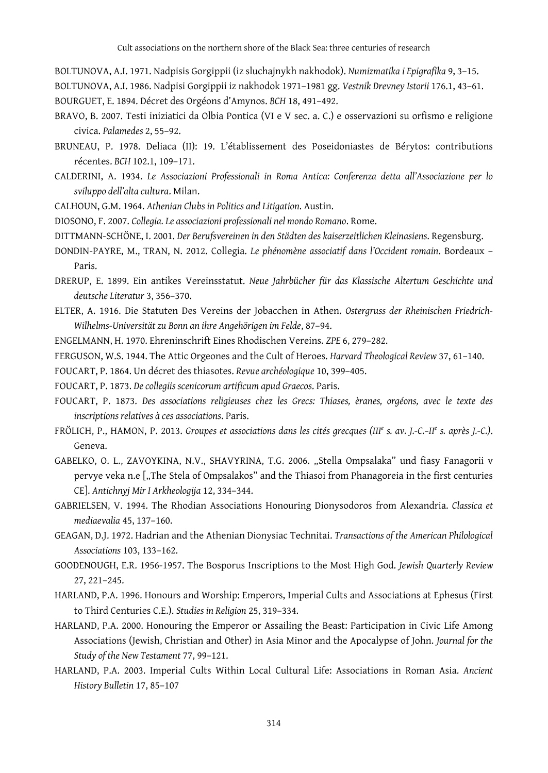BOLTUNOVA, A.I. 1971. Nadpisis Gorgippii (iz sluchajnykh nakhodok). *Numizmatika i Epigrafika* 9, 3–15.

BOLTUNOVA, A.I. 1986. Nadpisi Gorgippii iz nakhodok 1971–1981 gg. *Vestnik Drevney Istorii* 176.1, 43–61. BOURGUET, E. 1894. Décret des Orgéons d'Amynos. *BCH* 18, 491–492.

- BRAVO, B. 2007. Testi iniziatici da Olbia Pontica (VI e V sec. a. C.) e osservazioni su orfismo e religione civica. *Palamedes* 2, 55–92.
- BRUNEAU, P. 1978. Deliaca (II): 19. L'établissement des Poseidoniastes de Bérytos: contributions récentes. *BCH* 102.1, 109–171.
- CALDERINI, A. 1934. *Le Associazioni Professionali in Roma Antica: Conferenza detta all'Associazione per lo sviluppo dell'alta cultura*. Milan.
- CALHOUN, G.M. 1964. *Athenian Clubs in Politics and Litigation*. Austin.
- DIOSONO, F. 2007. *Collegia. Le associazioni professionali nel mondo Romano*. Rome.
- DITTMANN-SCHÖNE, I. 2001. *Der Berufsvereinen in den Städten des kaiserzeitlichen Kleinasiens*. Regensburg.
- DONDIN-PAYRE, M., TRAN, N. 2012. Collegia. *Le phénomène associatif dans l'Occident romain*. Bordeaux Paris.
- DRERUP, E. 1899. Ein antikes Vereinsstatut. *Neue Jahrbücher für das Klassische Altertum Geschichte und deutsche Literatur* 3, 356–370.
- ELTER, A. 1916. Die Statuten Des Vereins der Jobacchen in Athen. *Ostergruss der Rheinischen Friedrich-Wilhelms-Universität zu Bonn an ihre Angehörigen im Felde*, 87–94.
- ENGELMANN, H. 1970. Ehreninschrift Eines Rhodischen Vereins. *ZPE* 6, 279–282.

FERGUSON, W.S. 1944. The Attic Orgeones and the Cult of Heroes. *Harvard Theological Review* 37, 61–140.

FOUCART, P. 1864. Un décret des thiasotes. *Revue archéologique* 10, 399–405.

- FOUCART, P. 1873. *De collegiis scenicorum artificum apud Graecos*. Paris.
- FOUCART, P. 1873. *Des associations religieuses chez les Grecs: Thiases, èranes, orgéons, avec le texte des inscriptions relatives à ces associations*. Paris.
- FRÖLICH, P., HAMON, P. 2013. *Groupes et associations dans les cités grecques (III<sup>e</sup> s. av. J.-C.–II<sup>e</sup> s. après J.-C.)*. Geneva.
- GABELKO, O. L., ZAVOYKINA, N.V., SHAVYRINA, T.G. 2006. "Stella Ompsalaka" und fiasy Fanagorii v pervye veka n.e ["The Stela of Ompsalakos" and the Thiasoi from Phanagoreia in the first centuries CE]. *Antichnyj Mir I Arkheologija* 12, 334–344.
- GABRIELSEN, V. 1994. The Rhodian Associations Honouring Dionysodoros from Alexandria. *Classica et mediaevalia* 45, 137–160.
- GEAGAN, D.J. 1972. Hadrian and the Athenian Dionysiac Technitai. *Transactions of the American Philological Associations* 103, 133–162.
- GOODENOUGH, E.R. 1956-1957. The Bosporus Inscriptions to the Most High God. *Jewish Quarterly Review* 27, 221–245.
- HARLAND, P.A. 1996. Honours and Worship: Emperors, Imperial Cults and Associations at Ephesus (First to Third Centuries C.E.). *Studies in Religion* 25, 319–334.
- HARLAND, P.A. 2000. Honouring the Emperor or Assailing the Beast: Participation in Civic Life Among Associations (Jewish, Christian and Other) in Asia Minor and the Apocalypse of John. *Journal for the Study of the New Testament* 77, 99–121.
- HARLAND, P.A. 2003. Imperial Cults Within Local Cultural Life: Associations in Roman Asia. *Ancient History Bulletin* 17, 85–107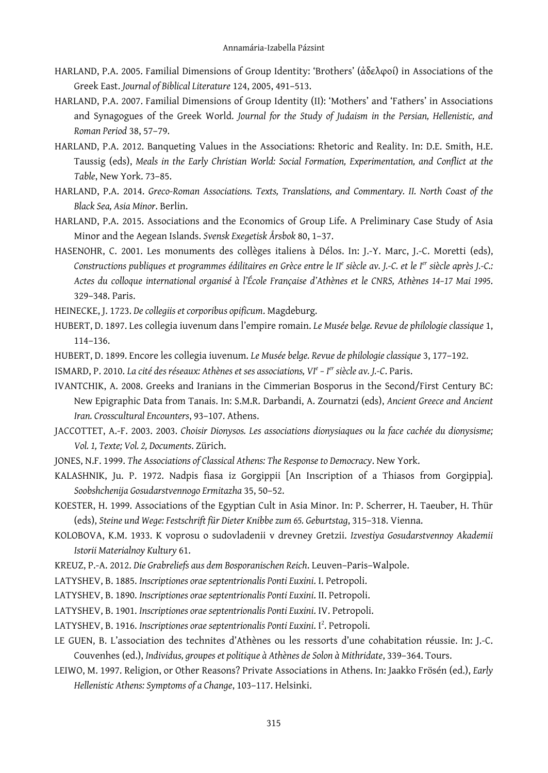- HARLAND, P.A. 2005. Familial Dimensions of Group Identity: 'Brothers' (ἀδελφοί) in Associations of the Greek East. *Journal of Biblical Literature* 124, 2005, 491–513.
- HARLAND, P.A. 2007. Familial Dimensions of Group Identity (II): 'Mothers' and 'Fathers' in Associations and Synagogues of the Greek World. *Journal for the Study of Judaism in the Persian, Hellenistic, and Roman Period* 38, 57–79.
- HARLAND, P.A. 2012. Banqueting Values in the Associations: Rhetoric and Reality. In: D.E. Smith, H.E. Taussig (eds), *Meals in the Early Christian World: Social Formation, Experimentation, and Conflict at the Table*, New York. 73–85.
- HARLAND, P.A. 2014. *Greco-Roman Associations. Texts, Translations, and Commentary. II. North Coast of the Black Sea, Asia Minor*. Berlin.
- HARLAND, P.A. 2015. Associations and the Economics of Group Life. A Preliminary Case Study of Asia Minor and the Aegean Islands. *Svensk Exegetisk Årsbok* 80, 1–37.
- HASENOHR, C. 2001. Les monuments des collèges italiens à Délos. In: J.-Y. Marc, J.-C. Moretti (eds), *Constructions publiques et programmes édilitaires en Grèce entre le II<sup>e</sup> siècle av. J.-C. et le Ier siècle après J.-C.: Actes du colloque international organisé à l'École Française d'Athènes et le CNRS, Athènes 14–17 Mai 1995*. 329–348. Paris.
- HEINECKE, J. 1723. *De collegiis et corporibus opificum*. Magdeburg.
- HUBERT, D. 1897. Les collegia iuvenum dans l'empire romain. *Le Musée belge. Revue de philologie classique* 1, 114–136.
- HUBERT, D. 1899. Encore les collegia iuvenum. *Le Musée belge. Revue de philologie classique* 3, 177–192.
- ISMARD, P. 2010. *La cité des réseaux: Athènes et ses associations, VI<sup>e</sup> – I er siècle av. J.-C*. Paris.
- IVANTCHIK, A. 2008. Greeks and Iranians in the Cimmerian Bosporus in the Second/First Century BC: New Epigraphic Data from Tanais. In: S.M.R. Darbandi, A. Zournatzi (eds), *Ancient Greece and Ancient Iran. Crosscultural Encounters*, 93–107. Athens.
- JACCOTTET, A.-F. 2003. 2003. *Choisir Dionysos. Les associations dionysiaques ou la face cachée du dionysisme; Vol. 1, Texte; Vol. 2, Documents*. Zürich.
- JONES, N.F. 1999. *The Associations of Classical Athens: The Response to Democracy*. New York.
- KALASHNIK, Ju. P. 1972. Nadpis fiasa iz Gorgippii [An Inscription of a Thiasos from Gorgippia]. *Soobshchenija Gosudarstvennogo Ermitazha* 35, 50–52.
- KOESTER, H. 1999. Associations of the Egyptian Cult in Asia Minor. In: P. Scherrer, H. Taeuber, H. Thür (eds), *Steine und Wege: Festschrift für Dieter Knibbe zum 65. Geburtstag*, 315–318. Vienna.
- KOLOBOVA, K.M. 1933. K voprosu o sudovladenii v drevney Gretzii. *Izvestiya Gosudarstvennoy Akademii Istorii Materialnoy Kultury* 61.
- KREUZ, P.-A. 2012. *Die Grabreliefs aus dem Bosporanischen Reich*. Leuven–Paris–Walpole.
- LATYSHEV, B. 1885. *Inscriptiones orae septentrionalis Ponti Euxini*. I. Petropoli.
- LATYSHEV, B. 1890. *Inscriptiones orae septentrionalis Ponti Euxini*. II. Petropoli.
- LATYSHEV, B. 1901. *Inscriptiones orae septentrionalis Ponti Euxini*. IV. Petropoli.
- LATYSHEV, B. 1916. *Inscriptiones orae septentrionalis Ponti Euxini*. I<sup>2</sup>. Petropoli.
- LE GUEN, B. L'association des technites d'Athènes ou les ressorts d'une cohabitation réussie. In: J.-C. Couvenhes (ed.), *Individus, groupes et politique à Athènes de Solon à Mithridate*, 339–364. Tours.
- LEIWO, M. 1997. Religion, or Other Reasons? Private Associations in Athens. In: Jaakko Frösén (ed.), *Early Hellenistic Athens: Symptoms of a Change*, 103–117. Helsinki.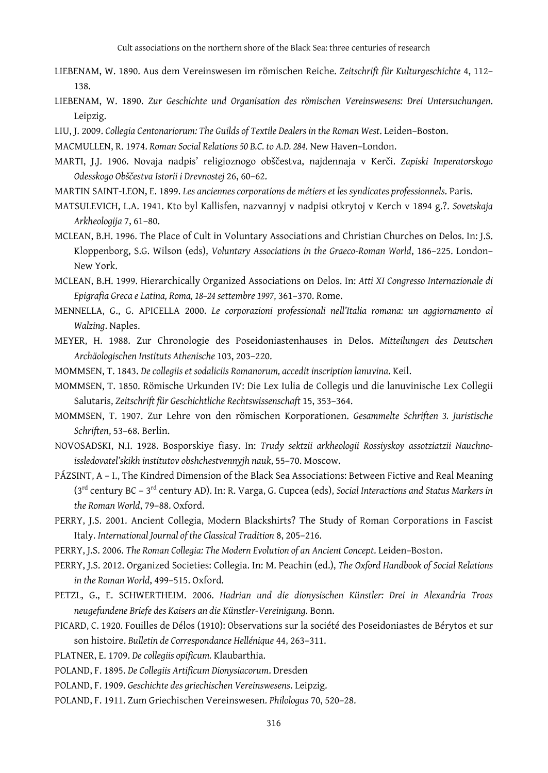- LIEBENAM, W. 1890. Aus dem Vereinswesen im römischen Reiche. *Zeitschrift für Kulturgeschichte* 4, 112– 138.
- LIEBENAM, W. 1890. *Zur Geschichte und Organisation des römischen Vereinswesens: Drei Untersuchungen*. Leipzig.
- LIU, J. 2009. *Collegia Centonariorum: The Guilds of Textile Dealers in the Roman West*. Leiden–Boston.

MACMULLEN, R. 1974. *Roman Social Relations 50 B.C. to A.D. 284*. New Haven–London.

- MARTI, J.J. 1906. Novaja nadpis' religioznogo obščestva, najdennaja v Kerči. *Zapiski Imperatorskogo Odesskogo Obščestva Istorii i Drevnostej* 26, 60–62.
- MARTIN SAINT-LEON, E. 1899. *Les anciennes corporations de métiers et les syndicates professionnels*. Paris.
- MATSULEVICH, L.A. 1941. Kto byl Kallisfen, nazvannyj v nadpisi otkrytoj v Kerch v 1894 g.?. *Sovetskaja Arkheologija* 7, 61–80.
- MCLEAN, B.H. 1996. The Place of Cult in Voluntary Associations and Christian Churches on Delos. In: J.S. Kloppenborg, S.G. Wilson (eds), *Voluntary Associations in the Graeco-Roman World*, 186–225. London– New York.
- MCLEAN, B.H. 1999. Hierarchically Organized Associations on Delos. In: *Atti XI Congresso Internazionale di Epigrafia Greca e Latina, Roma, 18–24 settembre 1997*, 361–370. Rome.
- MENNELLA, G., G. APICELLA 2000. *Le corporazioni professionali nell'Italia romana: un aggiornamento al Walzing*. Naples.
- MEYER, H. 1988. Zur Chronologie des Poseidoniastenhauses in Delos. *Mitteilungen des Deutschen Archäologischen Instituts Athenische* 103, 203–220.
- MOMMSEN, T. 1843. *De collegiis et sodaliciis Romanorum, accedit inscription lanuvina*. Keil.
- MOMMSEN, T. 1850. Römische Urkunden IV: Die Lex Iulia de Collegis und die lanuvinische Lex Collegii Salutaris, *Zeitschrift für Geschichtliche Rechtswissenschaft* 15, 353–364.
- MOMMSEN, T. 1907. Zur Lehre von den römischen Korporationen. *Gesammelte Schriften 3. Juristische Schriften*, 53–68. Berlin.
- NOVOSADSKI, N.I. 1928. Bosporskiye fiasy. In: *Trudy sektzii arkheologii Rossiyskoy assotziatzii Nauchnoissledovatel'skikh institutov obshchestvennyjh nauk*, 55–70. Moscow.
- PÁZSINT, A I., The Kindred Dimension of the Black Sea Associations: Between Fictive and Real Meaning (3rd century BC – 3rd century AD). In: R. Varga, G. Cupcea (eds), *Social Interactions and Status Markers in the Roman World*, 79–88. Oxford.
- PERRY, J.S. 2001. Ancient Collegia, Modern Blackshirts? The Study of Roman Corporations in Fascist Italy. *International Journal of the Classical Tradition* 8, 205–216.
- PERRY, J.S. 2006. *The Roman Collegia: The Modern Evolution of an Ancient Concept*. Leiden–Boston.
- PERRY, J.S. 2012. Organized Societies: Collegia. In: M. Peachin (ed.), *The Oxford Handbook of Social Relations in the Roman World*, 499–515. Oxford.
- PETZL, G., E. SCHWERTHEIM. 2006. *Hadrian und die dionysischen Künstler: Drei in Alexandria Troas neugefundene Briefe des Kaisers an die Künstler-Vereinigung*. Bonn.
- PICARD, C. 1920. Fouilles de Délos (1910): Observations sur la société des Poseidoniastes de Bérytos et sur son histoire. *Bulletin de Correspondance Hellénique* 44, 263–311.
- PLATNER, E. 1709. *De collegiis opificum.* Klaubarthia.
- POLAND, F. 1895. *De Collegiis Artificum Dionysiacorum*. Dresden
- POLAND, F. 1909. *Geschichte des griechischen Vereinswesens*. Leipzig.
- POLAND, F. 1911. Zum Griechischen Vereinswesen. *Philologus* 70, 520–28.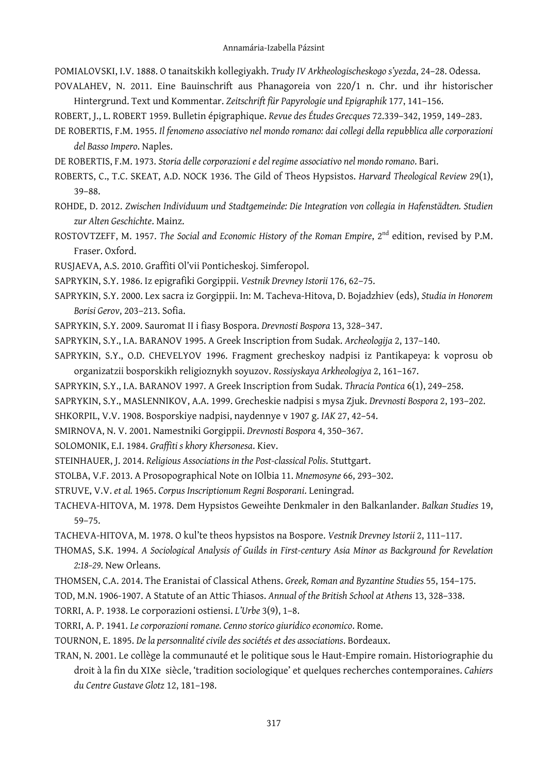POMIALOVSKI, I.V. 1888. O tanaitskikh kollegiyakh. *Trudy IV Arkheologischeskogo s'yezda*, 24–28. Odessa.

POVALAHEV, N. 2011. Eine Bauinschrift aus Phanagoreia von 220/1 n. Chr. und ihr historischer Hintergrund. Text und Kommentar. *Zeitschrift für Papyrologie und Epigraphik* 177, 141–156.

ROBERT, J., L. ROBERT 1959. Bulletin épigraphique. *Revue des Études Grecques* 72.339–342, 1959, 149–283.

- DE ROBERTIS, F.M. 1955. *Il fenomeno associativo nel mondo romano: dai collegi della repubblica alle corporazioni del Basso Impero*. Naples.
- DE ROBERTIS, F.M. 1973. *Storia delle corporazioni e del regime associativo nel mondo romano*. Bari.
- ROBERTS, C., T.C. SKEAT, A.D. NOCK 1936. The Gild of Theos Hypsistos. *Harvard Theological Review* 29(1), 39–88.
- ROHDE, D. 2012. *Zwischen Individuum und Stadtgemeinde: Die Integration von collegia in Hafenstädten. Studien zur Alten Geschichte*. Mainz.
- ROSTOVTZEFF, M. 1957. *The Social and Economic History of the Roman Empire*, 2<sup>nd</sup> edition, revised by P.M. Fraser. Oxford.
- RUSJAEVA, A.S. 2010. Graffiti Ol'vii Ponticheskoj. Simferopol.
- SAPRYKIN, S.Y. 1986. Iz epigrafiki Gorgippii. *Vestnik Drevney Istorii* 176, 62–75.
- SAPRYKIN, S.Y. 2000. Lex sacra iz Gorgippii. In: M. Tacheva-Hitova, D. Bojadzhiev (eds), *Studia in Honorem Borisi Gerov*, 203–213. Sofia.
- SAPRYKIN, S.Y. 2009. Sauromat II i fiasy Bospora. *Drevnosti Bospora* 13, 328–347.
- SAPRYKIN, S.Y., I.A. BARANOV 1995. A Greek Inscription from Sudak. *Archeologija* 2, 137–140.
- SAPRYKIN, S.Y., O.D. CHEVELYOV 1996. Fragment grecheskoy nadpisi iz Pantikapeya: k voprosu ob organizatzii bosporskikh religioznykh soyuzov. *Rossiyskaya Arkheologiya* 2, 161–167.
- SAPRYKIN, S.Y., I.A. BARANOV 1997. A Greek Inscription from Sudak. *Thracia Pontica* 6(1), 249–258.
- SAPRYKIN, S.Y., MASLENNIKOV, A.A. 1999. Grecheskie nadpisi s mysa Zjuk. *Drevnosti Bospora* 2, 193–202.
- SHKORPIL, V.V. 1908. Bosporskiye nadpisi, naydennye v 1907 g. *IAK* 27, 42–54.
- SMIRNOVA, N. V. 2001. Namestniki Gorgippii. *Drevnosti Bospora* 4, 350–367.
- SOLOMONIK, E.I. 1984. *Graffiti s khory Khersonesa*. Kiev.
- STEINHAUER, J. 2014. *Religious Associations in the Post-classical Polis*. Stuttgart.
- STOLBA, V.F. 2013. A Prosopographical Note on IOlbia 11. *Mnemosyne* 66, 293–302.
- STRUVE, V.V. *et al.* 1965. *Corpus Inscriptionum Regni Bosporani*. Leningrad.
- TACHEVA-HITOVA, M. 1978. Dem Hypsistos Geweihte Denkmaler in den Balkanlander. *Balkan Studies* 19, 59–75.
- TACHEVA-HITOVA, M. 1978. O kul'te theos hypsistos na Bospore. *Vestnik Drevney Istorii* 2, 111–117.
- THOMAS, S.K. 1994. *A Sociological Analysis of Guilds in First-century Asia Minor as Background for Revelation 2:18–29*. New Orleans.
- THOMSEN, C.A. 2014. The Eranistai of Classical Athens. *Greek, Roman and Byzantine Studies* 55, 154–175.
- TOD, M.N. 1906-1907. A Statute of an Attic Thiasos. *Annual of the British School at Athens* 13, 328–338.

TORRI, A. P. 1938. Le corporazioni ostiensi. *L'Urbe* 3(9), 1–8.

- TORRI, A. P. 1941. *Le corporazioni romane. Cenno storico giuridico economico*. Rome.
- TOURNON, E. 1895. *De la personnalité civile des sociétés et des associations*. Bordeaux.
- TRAN, N. 2001. Le collège la communauté et le politique sous le Haut-Empire romain. Historiographie du droit à la fin du XIXe siècle, 'tradition sociologique' et quelques recherches contemporaines. *Cahiers du Centre Gustave Glotz* 12, 181–198.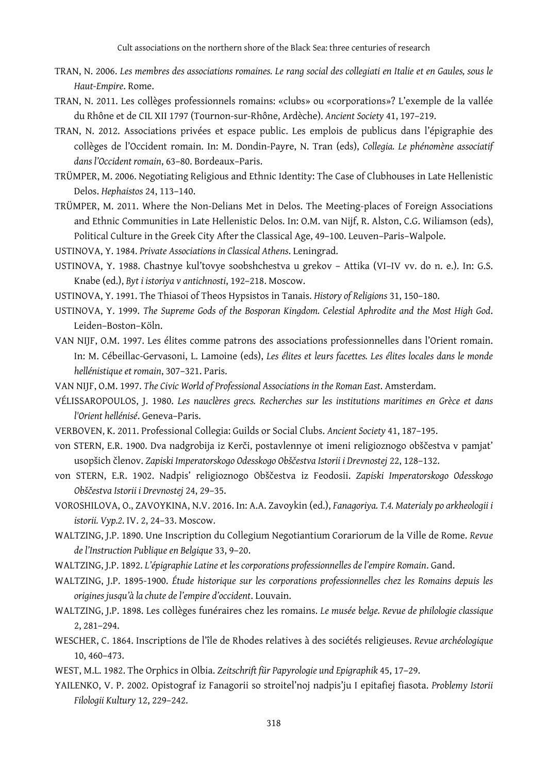- TRAN, N. 2006. *Les membres des associations romaines. Le rang social des collegiati en Italie et en Gaules, sous le Haut-Empire*. Rome.
- TRAN, N. 2011. Les collèges professionnels romains: «clubs» ou «corporations»? L'exemple de la vallée du Rhône et de CIL XII 1797 (Tournon-sur-Rhône, Ardèche). *Ancient Society* 41, 197–219.
- TRAN, N. 2012. Associations privées et espace public. Les emplois de publicus dans l'épigraphie des collèges de l'Occident romain. In: M. Dondin-Payre, N. Tran (eds), *Collegia. Le phénomène associatif dans l'Occident romain*, 63–80. Bordeaux–Paris.
- TRÜMPER, M. 2006. Negotiating Religious and Ethnic Identity: The Case of Clubhouses in Late Hellenistic Delos. *Hephaistos* 24, 113–140.
- TRÜMPER, M. 2011. Where the Non-Delians Met in Delos. The Meeting-places of Foreign Associations and Ethnic Communities in Late Hellenistic Delos. In: O.M. van Nijf, R. Alston, C.G. Wiliamson (eds), Political Culture in the Greek City After the Classical Age, 49–100. Leuven–Paris–Walpole.
- USTINOVA, Y. 1984. *Private Associations in Classical Athens*. Leningrad.
- USTINOVA, Y. 1988. Chastnye kul'tovye soobshchestva u grekov Attika (VI–IV vv. do n. e.). In: G.S. Knabe (ed.), *Byt i istoriya v antichnosti*, 192–218. Moscow.
- USTINOVA, Y. 1991. The Thiasoi of Theos Hypsistos in Tanais. *History of Religions* 31, 150–180.
- USTINOVA, Y. 1999. *The Supreme Gods of the Bosporan Kingdom. Celestial Aphrodite and the Most High God*. Leiden–Boston–Köln.
- VAN NIJF, O.M. 1997. Les élites comme patrons des associations professionnelles dans l'Orient romain. In: M. Cébeillac-Gervasoni, L. Lamoine (eds), *Les élites et leurs facettes. Les élites locales dans le monde hellénistique et romain*, 307–321. Paris.
- VAN NIJF, O.M. 1997. *The Civic World of Professional Associations in the Roman East*. Amsterdam.
- VÉLISSAROPOULOS, J. 1980. *Les nauclères grecs. Recherches sur les institutions maritimes en Grèce et dans l'Orient hellénisé*. Geneva–Paris.
- VERBOVEN, K. 2011. Professional Collegia: Guilds or Social Clubs. *Ancient Society* 41, 187–195.
- von STERN, E.R. 1900. Dva nadgrobija iz Kerči, postavlennye ot imeni religioznogo obščestva v pamjat' usopšich členov. *Zapiski Imperatorskogo Odesskogo Obščestva Istorii i Drevnostej* 22, 128–132.
- von STERN, E.R. 1902. Nadpis' religioznogo Obščestva iz Feodosii. *Zapiski Imperatorskogo Odesskogo Obščestva Istorii i Drevnostej* 24, 29–35.
- VOROSHILOVA, O., ZAVOYKINA, N.V. 2016. In: A.A. Zavoykin (ed.), *Fanagoriya. T.4. Materialy po arkheologii i istorii. Vyp.2*. IV. 2, 24–33. Moscow.
- WALTZING, J.P. 1890. Une Inscription du Collegium Negotiantium Corariorum de la Ville de Rome. *Revue de l'Instruction Publique en Belgique* 33, 9–20.
- WALTZING, J.P. 1892. *L'épigraphie Latine et les corporations professionnelles de l'empire Romain*. Gand.
- WALTZING, J.P. 1895-1900. *Étude historique sur les corporations professionnelles chez les Romains depuis les origines jusqu'à la chute de l'empire d'occident*. Louvain.
- WALTZING, J.P. 1898. Les collèges funéraires chez les romains. *Le musée belge. Revue de philologie classique*  2, 281–294.
- WESCHER, C. 1864. Inscriptions de l'île de Rhodes relatives à des sociétés religieuses. *Revue archéologique* 10, 460–473.
- WEST, M.L. 1982. The Orphics in Olbia. *Zeitschrift für Papyrologie und Epigraphik* 45, 17–29.
- YAILENKO, V. P. 2002. Opistograf iz Fanagorii so stroitel'noj nadpis'ju I epitafiej fiasota. *Problemy Istorii Filologii Kultury* 12, 229–242.